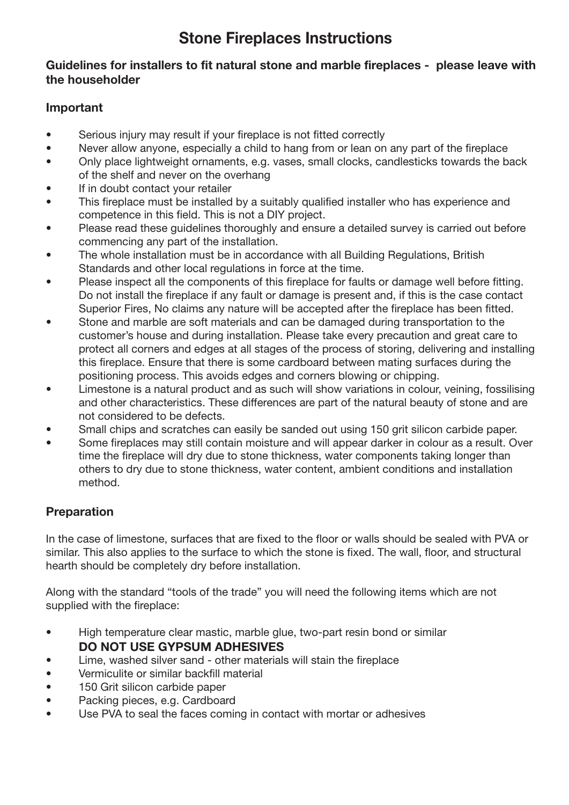# **Stone Fireplaces Instructions**

#### **Guidelines for installers to fit natural stone and marble fireplaces - please leave with the householder**

## **Important**

- Serious injury may result if your fireplace is not fitted correctly
- Never allow anyone, especially a child to hang from or lean on any part of the fireplace
- Only place lightweight ornaments, e.g. vases, small clocks, candlesticks towards the back of the shelf and never on the overhang
- If in doubt contact your retailer
- This fireplace must be installed by a suitably qualified installer who has experience and competence in this field. This is not a DIY project.
- Please read these guidelines thoroughly and ensure a detailed survey is carried out before commencing any part of the installation.
- The whole installation must be in accordance with all Building Regulations, British Standards and other local regulations in force at the time.
- Please inspect all the components of this fireplace for faults or damage well before fitting. Do not install the fireplace if any fault or damage is present and, if this is the case contact Superior Fires, No claims any nature will be accepted after the fireplace has been fitted.
- Stone and marble are soft materials and can be damaged during transportation to the customer's house and during installation. Please take every precaution and great care to protect all corners and edges at all stages of the process of storing, delivering and installing this fireplace. Ensure that there is some cardboard between mating surfaces during the positioning process. This avoids edges and corners blowing or chipping.
- Limestone is a natural product and as such will show variations in colour, veining, fossilising and other characteristics. These differences are part of the natural beauty of stone and are not considered to be defects.
- Small chips and scratches can easily be sanded out using 150 grit silicon carbide paper.
- Some fireplaces may still contain moisture and will appear darker in colour as a result. Over time the fireplace will dry due to stone thickness, water components taking longer than others to dry due to stone thickness, water content, ambient conditions and installation method.

# **Preparation**

In the case of limestone, surfaces that are fixed to the floor or walls should be sealed with PVA or similar. This also applies to the surface to which the stone is fixed. The wall, floor, and structural hearth should be completely dry before installation.

Along with the standard "tools of the trade" you will need the following items which are not supplied with the fireplace:

- High temperature clear mastic, marble glue, two-part resin bond or similar **DO NOT USE GYPSUM ADHESIVES**
- Lime, washed silver sand other materials will stain the fireplace
- Vermiculite or similar backfill material
- 150 Grit silicon carbide paper
- Packing pieces, e.g. Cardboard
- Use PVA to seal the faces coming in contact with mortar or adhesives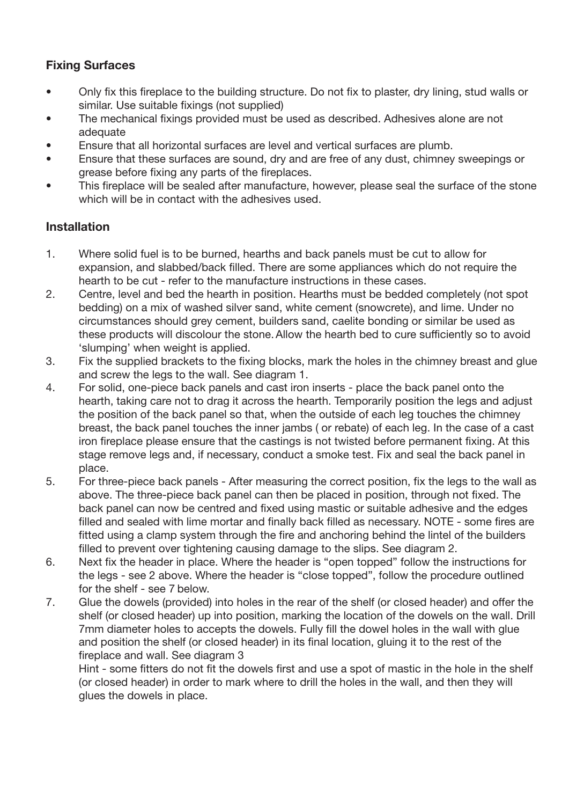## **Fixing Surfaces**

- Only fix this fireplace to the building structure. Do not fix to plaster, dry lining, stud walls or similar. Use suitable fixings (not supplied)
- The mechanical fixings provided must be used as described. Adhesives alone are not adequate
- Ensure that all horizontal surfaces are level and vertical surfaces are plumb.
- Ensure that these surfaces are sound, dry and are free of any dust, chimney sweepings or grease before fixing any parts of the fireplaces.
- This fireplace will be sealed after manufacture, however, please seal the surface of the stone which will be in contact with the adhesives used.

#### **Installation**

- 1. Where solid fuel is to be burned, hearths and back panels must be cut to allow for expansion, and slabbed/back filled. There are some appliances which do not require the hearth to be cut - refer to the manufacture instructions in these cases.
- 2. Centre, level and bed the hearth in position. Hearths must be bedded completely (not spot bedding) on a mix of washed silver sand, white cement (snowcrete), and lime. Under no circumstances should grey cement, builders sand, caelite bonding or similar be used as these products will discolour the stone. Allow the hearth bed to cure sufficiently so to avoid 'slumping' when weight is applied.
- 3. Fix the supplied brackets to the fixing blocks, mark the holes in the chimney breast and glue and screw the legs to the wall. See diagram 1.<br>4. For solid. one-piece back panels and cast iron
- 4. For solid, one-piece back panels and cast iron inserts place the back panel onto the hearth, taking care not to drag it across the hearth. Temporarily position the legs and adjust the position of the back panel so that, when the outside of each leg touches the chimney breast, the back panel touches the inner jambs ( or rebate) of each leg. In the case of a cast iron fireplace please ensure that the castings is not twisted before permanent fixing. At this stage remove legs and, if necessary, conduct a smoke test. Fix and seal the back panel in place.
- 5. For three-piece back panels After measuring the correct position, fix the legs to the wall as above. The three-piece back panel can then be placed in position, through not fixed. The back panel can now be centred and fixed using mastic or suitable adhesive and the edges filled and sealed with lime mortar and finally back filled as necessary. NOTE - some fires are fitted using a clamp system through the fire and anchoring behind the lintel of the builders filled to prevent over tightening causing damage to the slips. See diagram 2.
- 6. Next fix the header in place. Where the header is "open topped" follow the instructions for the legs - see 2 above. Where the header is "close topped", follow the procedure outlined for the shelf - see 7 below.
- 7. Glue the dowels (provided) into holes in the rear of the shelf (or closed header) and offer the shelf (or closed header) up into position, marking the location of the dowels on the wall. Drill 7mm diameter holes to accepts the dowels. Fully fill the dowel holes in the wall with glue and position the shelf (or closed header) in its final location, gluing it to the rest of the fireplace and wall. See diagram 3

 Hint - some fitters do not fit the dowels first and use a spot of mastic in the hole in the shelf (or closed header) in order to mark where to drill the holes in the wall, and then they will glues the dowels in place.